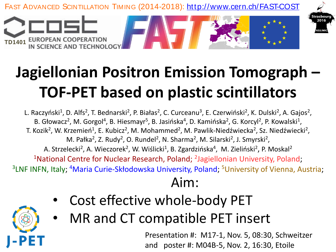

## **Jagiellonian Positron Emission Tomograph – TOF-PET based on plastic scintillators**

L. Raczyński<sup>1</sup>, D. Alfs<sup>2</sup>, T. Bednarski<sup>2</sup>, P. Białas<sup>2</sup>, C. Curceanu<sup>3</sup>, E. Czerwiński<sup>2</sup>, K. Dulski<sup>2</sup>, A. Gajos<sup>2</sup>, B. Głowacz<sup>2</sup>, M. Gorgol<sup>4</sup>, B. Hiesmayr<sup>5</sup>, B. Jasińska<sup>4</sup>, D. Kamińska<sup>2</sup>, G. Korcyl<sup>2</sup>, P. Kowalski<sup>1</sup>, T. Kozik<sup>2</sup>, W. Krzemień<sup>1</sup>, E. Kubicz<sup>2</sup>, M. Mohammed<sup>2</sup>, M. Pawlik-Niedźwiecka<sup>2</sup>, Sz. Niedźwiecki<sup>2</sup>, M. Pałka<sup>2</sup>, Z. Rudy<sup>2</sup>, O. Rundel<sup>2</sup>, N. Sharma<sup>2</sup>, M. Silarski<sup>2</sup>, J. Smyrski<sup>2</sup>, A. Strzelecki<sup>2</sup>, A. Wieczorek<sup>2</sup>, W. Wiślicki<sup>1</sup>, B. Zgardzińska<sup>4</sup>, M. Zieliński<sup>2</sup>, P. Moskal<sup>2</sup> <sup>1</sup>National Centre for Nuclear Research, Poland; <sup>2</sup>Jagiellonian University, Poland; <sup>3</sup>LNF INFN, Italy; <sup>4</sup>Maria Curie-Skłodowska University, Poland; <sup>5</sup>University of Vienna, Austria;

## Aim:

- Cost effective whole-body PET
- MR and CT compatible PET insert

Presentation #: M17-1, Nov. 5, 08:30, Schweitzer and poster #: M04B-5, Nov. 2, 16:30, Etoile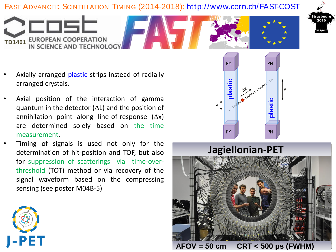# FAST ADVANCED SCINTILLATION TIMING (2014-2018): http://www.cern.ch/FAST-COST<br>TD1401 EUROPEAN COOPERATION<br>IN SCIENCE AND TECHNOLOGY



• Axially arranged plastic strips instead of radially arranged crystals.

**TD1401 EUROPEAN COOPERATION<br>IN SCIENCE AND TECHNOLOG** 

- Axial position of the interaction of gamma quantum in the detector  $(\Delta L)$  and the position of annihilation point along line-of-response  $(\Delta x)$ are determined solely based on the time measurement.
- Timing of signals is used not only for the determination of hit-position and TOF, but also for suppression of scatterings via time-overthreshold (TOT) method or via recovery of the signal waveform based on the compressing sensing (see poster M04B-5)





 $AFOV = 50 cm$ **AFOV = 50 cm CRT < 500 ps (FWHM)**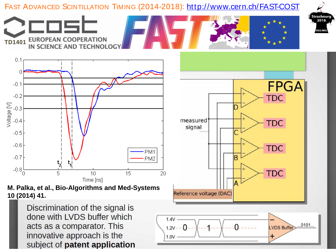

Discrimination of the signal is done with LVDS buffer which acts as a comparator. This innovative approach is the subject of patent application

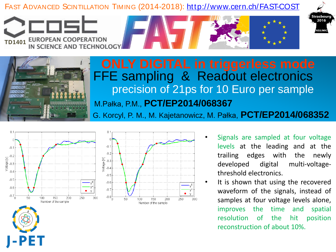# FAST ADVANCED SCINTILLATION TIMING (2014-2018): http://www.cern.ch/FAST-COST<br>
TD1401 EUROPEAN COOPERATION<br>
IN SCIENCE AND TECHNOLOGY





**TD1401 EUROPEAN COOPERATION<br>IN SCIENCE AND TECHNOLOG** 

## precision of 21ps for 10 Euro per sample FFE sampling & Readout electronics M.Pałka, P.M., **PCT/EP2014/068367**

G. Korcyl, P. M., M. Kajetanowicz, M. Pałka, **PCT/EP2014/068352**





- Signals are sampled at four voltage levels at the leading and at the trailing edges with the newly developed digital multi-voltagethreshold electronics.
- It is shown that using the recovered waveform of the signals, instead of samples at four voltage levels alone, improves the time and spatial resolution of the hit position reconstruction of about 10%.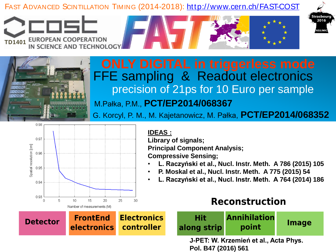# FAST ADVANCED SCINTILLATION TIMING (2014-2018): http://www.cern.ch/FAST-COST<br>TD1401 EUROPEAN COOPERATION<br>IN SCIENCE AND TECHNOLOGY





## precision of 21ps for 10 Euro per sample FFE sampling & Readout electronics M.Pałka, P.M., **PCT/EP2014/068367**

G. Korcyl, P. M., M. Kajetanowicz, M. Pałka, **PCT/EP2014/068352**



### **IDEAS :**

**Library of signals; Principal Component Analysis;** 

**Compressive Sensing;**

- **L. Raczyński et al., Nucl. Instr. Meth. A 786 (2015) 105**
- **P. Moskal et al., Nucl. Instr. Meth. A 775 (2015) 54**
- **L. Raczyński et al., Nucl. Instr. Meth. A 764 (2014) 186**

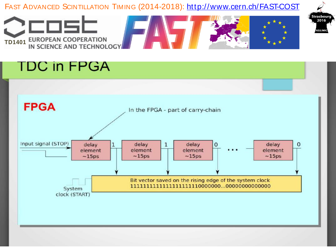

### **TDC in FPGA**